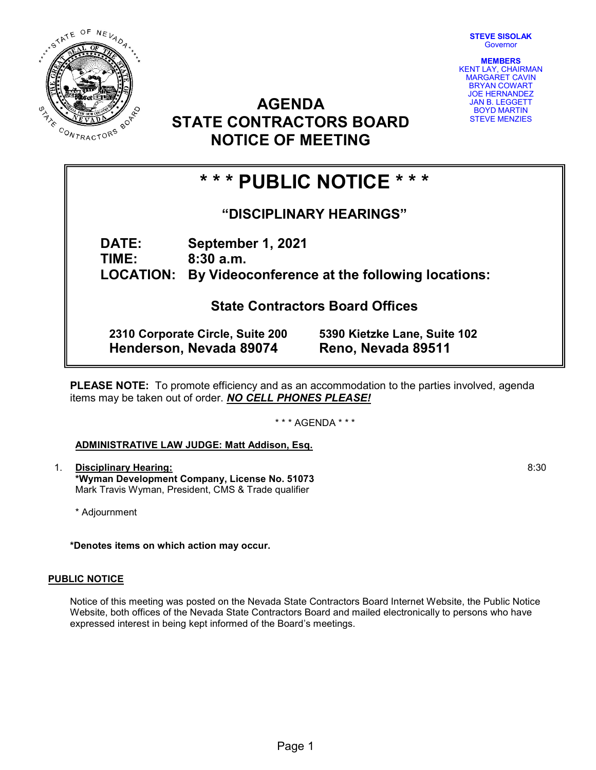STEVE SISOLAK



**Governor** 



## AGENDA STATE CONTRACTORS BOARD NOTICE OF MEETING

# \* \* \* PUBLIC NOTICE \* \* \*

### "DISCIPLINARY HEARINGS"

DATE: September 1, 2021 TIME: 8:30 a.m. LOCATION: By Videoconference at the following locations:

### State Contractors Board Offices

2310 Corporate Circle, Suite 200 5390 Kietzke Lane, Suite 102 Henderson, Nevada 89074 Reno, Nevada 89511

PLEASE NOTE: To promote efficiency and as an accommodation to the parties involved, agenda items may be taken out of order. NO CELL PHONES PLEASE!

\* \* \* AGENDA \* \* \*

### ADMINISTRATIVE LAW JUDGE: Matt Addison, Esq.

1. Disciplinary Hearing: \*Wyman Development Company, License No. 51073 Mark Travis Wyman, President, CMS & Trade qualifier

\* Adjournment

\*Denotes items on which action may occur.

#### PUBLIC NOTICE

Notice of this meeting was posted on the Nevada State Contractors Board Internet Website, the Public Notice Website, both offices of the Nevada State Contractors Board and mailed electronically to persons who have expressed interest in being kept informed of the Board's meetings.

8:30